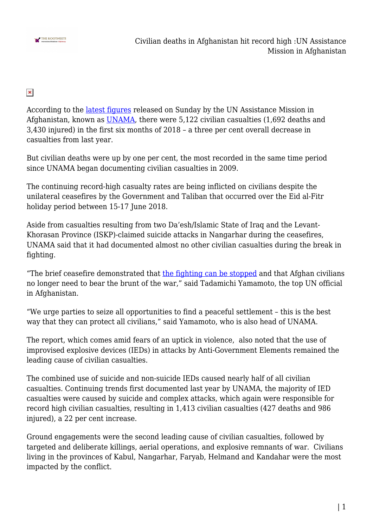

 $\pmb{\times}$ 

According to the [latest figures](https://t.co/TbuEnTQq5T) released on Sunday by the UN Assistance Mission in Afghanistan, known as [UNAMA](http://unama.unmissions.org/), there were 5,122 civilian casualties (1,692 deaths and 3,430 injured) in the first six months of 2018 – a three per cent overall decrease in casualties from last year.

But civilian deaths were up by one per cent, the most recorded in the same time period since UNAMA began documenting civilian casualties in 2009.

The continuing record-high casualty rates are being inflicted on civilians despite the unilateral ceasefires by the Government and Taliban that occurred over the Eid al-Fitr holiday period between 15-17 June 2018.

Aside from casualties resulting from two Da'esh/Islamic State of Iraq and the Levant-Khorasan Province (ISKP)-claimed suicide attacks in Nangarhar during the ceasefires, UNAMA said that it had documented almost no other civilian casualties during the break in fighting.

"The brief ceasefire demonstrated that [the fighting can be stopped](https://unama.unmissions.org/highest-recorded-civilian-deaths-conflict-mid-year-point-latest-unama-update) and that Afghan civilians no longer need to bear the brunt of the war," said Tadamichi Yamamoto, the top UN official in Afghanistan.

"We urge parties to seize all opportunities to find a peaceful settlement – this is the best way that they can protect all civilians," said Yamamoto, who is also head of UNAMA.

The report, which comes amid fears of an uptick in violence, also noted that the use of improvised explosive devices (IEDs) in attacks by Anti-Government Elements remained the leading cause of civilian casualties.

The combined use of suicide and non-suicide IEDs caused nearly half of all civilian casualties. Continuing trends first documented last year by UNAMA, the majority of IED casualties were caused by suicide and complex attacks, which again were responsible for record high civilian casualties, resulting in 1,413 civilian casualties (427 deaths and 986 injured), a 22 per cent increase.

Ground engagements were the second leading cause of civilian casualties, followed by targeted and deliberate killings, aerial operations, and explosive remnants of war. Civilians living in the provinces of Kabul, Nangarhar, Faryab, Helmand and Kandahar were the most impacted by the conflict.